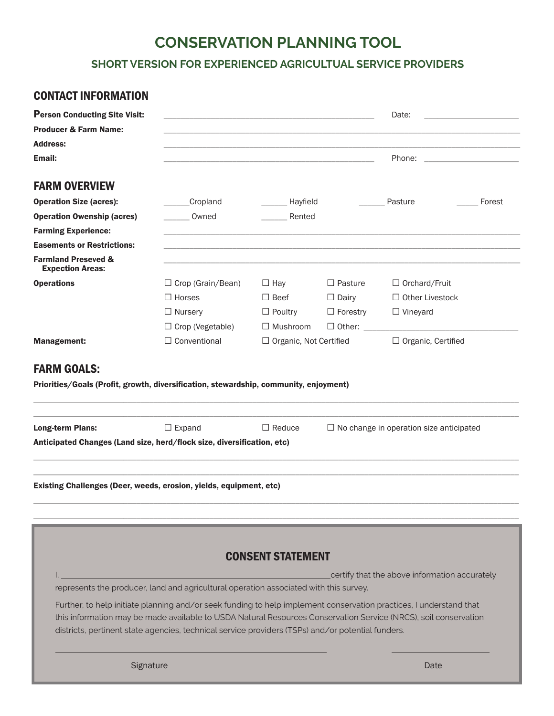# **CONSERVATION PLANNING TOOL**

**SHORT VERSION FOR EXPERIENCED AGRICULTUAL SERVICE PROVIDERS**

# CONTACT INFORMATION

| <b>Person Conducting Site Visit:</b><br><b>Producer &amp; Farm Name:</b> | Date:                                                                                             |                               |                      |                                                                                                                                                                                                                                       |
|--------------------------------------------------------------------------|---------------------------------------------------------------------------------------------------|-------------------------------|----------------------|---------------------------------------------------------------------------------------------------------------------------------------------------------------------------------------------------------------------------------------|
| <b>Address:</b>                                                          |                                                                                                   |                               |                      |                                                                                                                                                                                                                                       |
| Email:                                                                   |                                                                                                   |                               |                      | Phone:                                                                                                                                                                                                                                |
| <b>FARM OVERVIEW</b>                                                     |                                                                                                   |                               |                      |                                                                                                                                                                                                                                       |
| <b>Operation Size (acres):</b>                                           | Cropland                                                                                          | Hayfield                      |                      | Pasture<br>Forest                                                                                                                                                                                                                     |
| <b>Operation Owenship (acres)</b>                                        | Owned                                                                                             | Rented                        |                      |                                                                                                                                                                                                                                       |
| <b>Farming Experience:</b>                                               |                                                                                                   |                               |                      |                                                                                                                                                                                                                                       |
| <b>Easements or Restrictions:</b>                                        |                                                                                                   |                               |                      |                                                                                                                                                                                                                                       |
| <b>Farmland Preseved &amp;</b><br><b>Expection Areas:</b>                |                                                                                                   |                               |                      |                                                                                                                                                                                                                                       |
| <b>Operations</b>                                                        | $\Box$ Crop (Grain/Bean)                                                                          | $\Box$ Hay                    | $\Box$ Pasture       | $\Box$ Orchard/Fruit                                                                                                                                                                                                                  |
|                                                                          | $\Box$ Horses                                                                                     | $\Box$ Beef                   | $\Box$ Dairy         | $\Box$ Other Livestock                                                                                                                                                                                                                |
|                                                                          | $\Box$ Nursery                                                                                    | $\Box$ Poultry                | $\Box$ Forestry      | $\Box$ Vineyard                                                                                                                                                                                                                       |
|                                                                          | $\Box$ Crop (Vegetable)                                                                           | $\Box$ Mushroom               | $\Box$ Other: $\Box$ |                                                                                                                                                                                                                                       |
| <b>Management:</b>                                                       | $\Box$ Conventional                                                                               | $\Box$ Organic, Not Certified |                      | $\Box$ Organic, Certified                                                                                                                                                                                                             |
| <b>Long-term Plans:</b>                                                  | $\Box$ Expand                                                                                     | $\Box$ Reduce                 |                      | $\Box$ No change in operation size anticipated                                                                                                                                                                                        |
| Anticipated Changes (Land size, herd/flock size, diversification, etc)   |                                                                                                   |                               |                      |                                                                                                                                                                                                                                       |
| Existing Challenges (Deer, weeds, erosion, yields, equipment, etc)       |                                                                                                   |                               |                      |                                                                                                                                                                                                                                       |
|                                                                          |                                                                                                   | <b>CONSENT STATEMENT</b>      |                      |                                                                                                                                                                                                                                       |
|                                                                          |                                                                                                   |                               |                      | certify that the above information accurately                                                                                                                                                                                         |
|                                                                          | represents the producer, land and agricultural operation associated with this survey.             |                               |                      |                                                                                                                                                                                                                                       |
|                                                                          | districts, pertinent state agencies, technical service providers (TSPs) and/or potential funders. |                               |                      | Further, to help initiate planning and/or seek funding to help implement conservation practices, I understand that<br>this information may be made available to USDA Natural Resources Conservation Service (NRCS), soil conservation |
| Signature                                                                |                                                                                                   |                               |                      | Date                                                                                                                                                                                                                                  |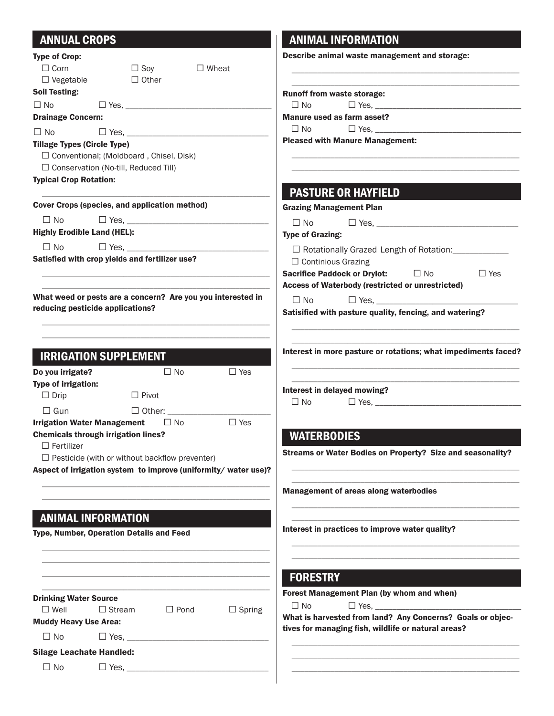# ANNUAL CROPS

| <b>Type of Crop:</b>               |                                                                |               |               | Describe animal waste management and storage:                  |
|------------------------------------|----------------------------------------------------------------|---------------|---------------|----------------------------------------------------------------|
| $\Box$ Corn                        | $\Box$ Soy                                                     |               | $\Box$ Wheat  |                                                                |
| $\Box$ Vegetable                   | $\Box$ Other                                                   |               |               |                                                                |
| <b>Soil Testing:</b>               |                                                                |               |               | <b>Runoff from waste storage:</b>                              |
| $\Box$ No                          | $\Box$ Yes.                                                    |               |               | $\square$ No                                                   |
| <b>Drainage Concern:</b>           |                                                                |               |               | Manure used as farm asset?                                     |
| $\Box$ No                          |                                                                | $\Box$ Yes.   |               | $\Box$ No                                                      |
| <b>Tillage Types (Circle Type)</b> |                                                                |               |               | <b>Pleased with Manure Management:</b>                         |
|                                    | □ Conventional; (Moldboard, Chisel, Disk)                      |               |               |                                                                |
|                                    | $\Box$ Conservation (No-till, Reduced Till)                    |               |               |                                                                |
| <b>Typical Crop Rotation:</b>      |                                                                |               |               |                                                                |
|                                    |                                                                |               |               | <b>PASTURE OR HAYFIELD</b>                                     |
|                                    | Cover Crops (species, and application method)                  |               |               | <b>Grazing Management Plan</b>                                 |
| $\Box$ No                          |                                                                |               |               | $\Box$ No                                                      |
| <b>Highly Erodible Land (HEL):</b> |                                                                |               |               | <b>Type of Grazing:</b>                                        |
| $\Box$ No                          |                                                                |               |               |                                                                |
|                                    | Satisfied with crop yields and fertilizer use?                 |               |               | $\Box$ Rotationally Grazed Length of Rotation: $\Box$          |
|                                    |                                                                |               |               | $\Box$ Continious Grazing<br>$\Box$ Yes                        |
|                                    |                                                                |               |               | Sacrifice Paddock or Drylot: □ No                              |
|                                    | What weed or pests are a concern? Are you you interested in    |               |               | Access of Waterbody (restricted or unrestricted)               |
|                                    | reducing pesticide applications?                               |               |               | $\Box$ Yes,<br>$\Box$ No                                       |
|                                    |                                                                |               |               | Satisified with pasture quality, fencing, and watering?        |
|                                    | <b>IRRIGATION SUPPLEMENT</b>                                   |               |               | Interest in more pasture or rotations; what impediments faced? |
| Do you irrigate?                   |                                                                | $\Box$ No     | $\Box$ Yes    |                                                                |
| Type of irrigation:                |                                                                |               |               | Interest in delayed mowing?                                    |
| $\Box$ Drip                        | $\Box$ Pivot                                                   |               |               | $\Box$ No                                                      |
| $\Box$ Gun                         |                                                                | $\Box$ Other: |               |                                                                |
|                                    | <b>Irrigation Water Management</b>                             | $\Box$ No     | $\Box$ Yes    |                                                                |
|                                    | <b>Chemicals through irrigation lines?</b>                     |               |               | <b>WATERBODIES</b>                                             |
| $\Box$ Fertilizer                  |                                                                |               |               | Streams or Water Bodies on Property? Size and seasonality?     |
|                                    | $\Box$ Pesticide (with or without backflow preventer)          |               |               |                                                                |
|                                    | Aspect of irrigation system to improve (uniformity/water use)? |               |               |                                                                |
|                                    |                                                                |               |               | <b>Management of areas along waterbodies</b>                   |
|                                    | <b>ANIMAL INFORMATION</b>                                      |               |               |                                                                |
|                                    | Type, Number, Operation Details and Feed                       |               |               | Interest in practices to improve water quality?                |
|                                    |                                                                |               |               |                                                                |
|                                    |                                                                |               |               |                                                                |
|                                    |                                                                |               |               | <b>FORESTRY</b><br>Forest Management Plan (by whom and when)   |
| <b>Drinking Water Source</b>       |                                                                |               |               | $\Box$ Yes, $\Box$<br>$\Box$ No                                |
| $\Box$ Well                        | $\Box$ Stream                                                  | $\Box$ Pond   | $\Box$ Spring | What is harvested from land? Any Concerns? Goals or objec-     |
| <b>Muddy Heavy Use Area:</b>       |                                                                |               |               | tives for managing fish, wildlife or natural areas?            |
| $\Box$ No                          | $\Box$ Yes, ______                                             |               |               |                                                                |
| <b>Silage Leachate Handled:</b>    |                                                                |               |               |                                                                |
| $\Box$ No                          | $\Box$ Yes,                                                    |               |               |                                                                |
|                                    |                                                                |               |               |                                                                |

ANIMAL INFORMATION